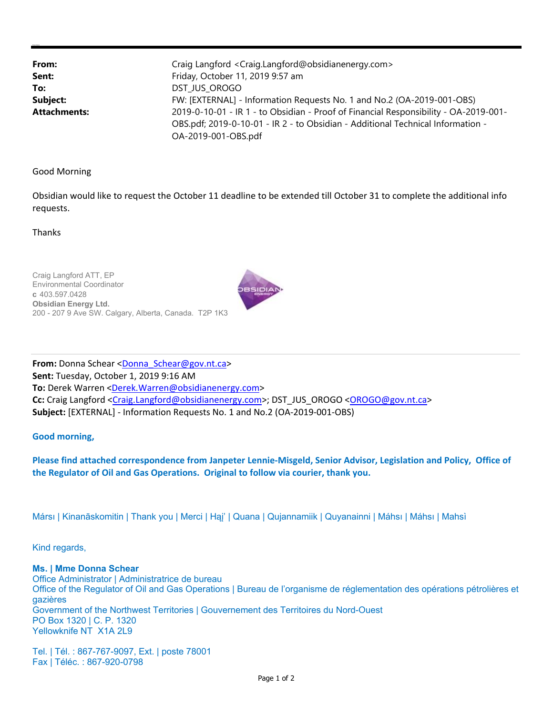| From:               | Craig Langford <craig.langford@obsidianenergy.com></craig.langford@obsidianenergy.com> |
|---------------------|----------------------------------------------------------------------------------------|
|                     |                                                                                        |
| Sent:               | Friday, October 11, 2019 9:57 am                                                       |
| To:                 | DST JUS OROGO                                                                          |
| Subject:            | FW: [EXTERNAL] - Information Requests No. 1 and No.2 (OA-2019-001-OBS)                 |
| <b>Attachments:</b> | 2019-0-10-01 - IR 1 - to Obsidian - Proof of Financial Responsibility - OA-2019-001-   |
|                     | OBS.pdf; 2019-0-10-01 - IR 2 - to Obsidian - Additional Technical Information -        |
|                     | OA-2019-001-OBS.pdf                                                                    |

Good Morning

Obsidian would like to request the October 11 deadline to be extended till October 31 to complete the additional info requests.

Thanks

Craig Langford ATT, EP Environmental Coordinator c 403.597.0428 **Obsidian Energy Ltd.**  200 - 207 9 Ave SW. Calgary, Alberta, Canada. T2P 1K3



**From:** Donna Schear <Donna\_Schear@gov.nt.ca> **Sent:** Tuesday, October 1, 2019 9:16 AM **To:** Derek Warren <Derek.Warren@obsidianenergy.com> **Cc:** Craig Langford <Craig.Langford@obsidianenergy.com>; DST\_JUS\_OROGO <OROGO@gov.nt.ca> **Subject:** [EXTERNAL] ‐ Information Requests No. 1 and No.2 (OA‐2019‐001‐OBS)

**Good morning,** 

**Please find attached correspondence from Janpeter Lennie‐Misgeld, Senior Advisor, Legislation and Policy, Office of the Regulator of Oil and Gas Operations. Original to follow via courier, thank you.** 

Mársı | Kinanāskomitin | Thank you | Merci | Hąį' | Quana | Qujannamiik | Quyanainni | Máhsı | Máhsı | Mahsı̀

Kind regards,

**Ms. | Mme Donna Schear**  Office Administrator | Administratrice de bureau Office of the Regulator of Oil and Gas Operations | Bureau de l'organisme de réglementation des opérations pétrolières et gazières Government of the Northwest Territories | Gouvernement des Territoires du Nord-Ouest PO Box 1320 | C. P. 1320 Yellowknife NT X1A 2L9

Tel. | Tél. : 867-767-9097, Ext. | poste 78001 Fax | Téléc. : 867-920-0798